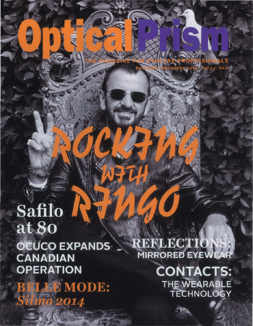# Safilo at 80 OCUCO EXPANDS **CANADIAN OPERATION**

**JEWMODE:** 2014

REFLECTIO **MIRRORED EYEWEA** 

> **CONTACTS:** THE WEARABLE **TECHNOLOGY**

Vol.34 No.6